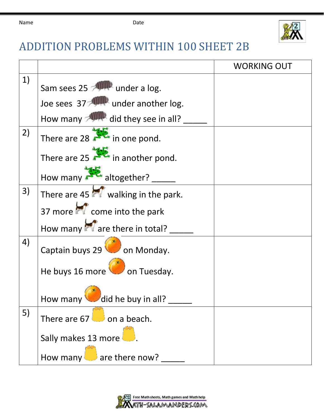

## ADDITION PROBLEMS WITHIN 100 SHEET 2B

|    |                                                    | <b>WORKING OUT</b> |
|----|----------------------------------------------------|--------------------|
| 1) | Sam sees 25 <b>Allemander</b> a log.               |                    |
|    | Joe sees 37 <b>ANIMA</b> under another log.        |                    |
|    | How many <b>Allegence</b> did they see in all?     |                    |
| 2) | There are 28 $\sim$ in one pond.                   |                    |
|    | There are 25 in another pond.                      |                    |
|    | How many altogether?                               |                    |
| 3) | There are $45$ $\blacksquare$ walking in the park. |                    |
|    | 37 more <b>of</b> come into the park               |                    |
|    | How many are there in total?                       |                    |
| 4) | Captain buys 29 on Monday.                         |                    |
|    | He buys 16 more on Tuesday.                        |                    |
|    | How many did he buy in all?                        |                    |
| 5) | There are $67$ on a beach.                         |                    |
|    | Sally makes 13 more                                |                    |
|    | How many $\Box$ are there now?                     |                    |